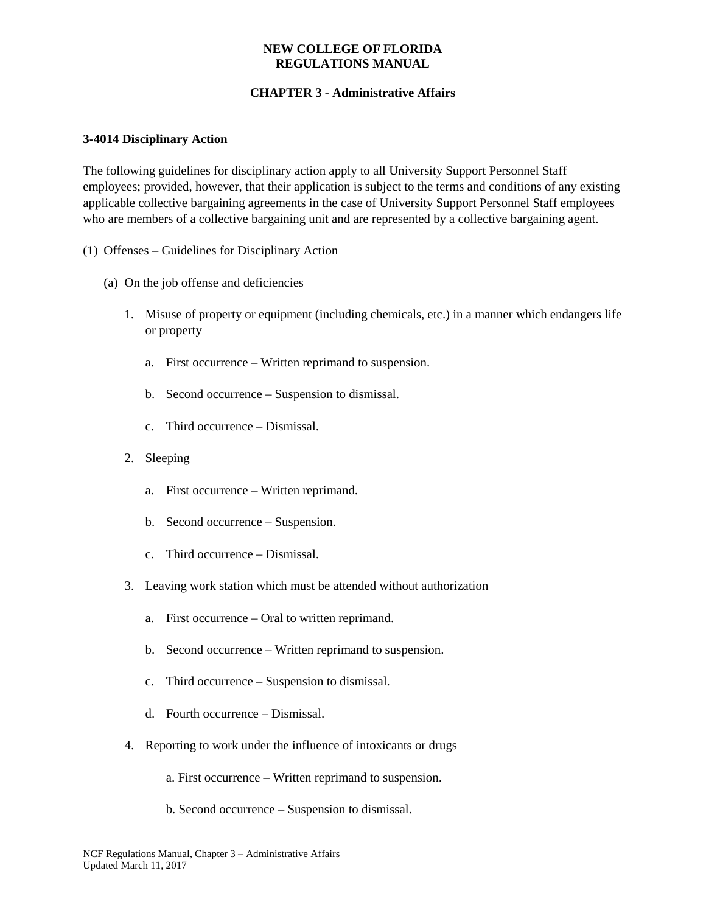# **CHAPTER 3 - Administrative Affairs**

### **3-4014 Disciplinary Action**

The following guidelines for disciplinary action apply to all University Support Personnel Staff employees; provided, however, that their application is subject to the terms and conditions of any existing applicable collective bargaining agreements in the case of University Support Personnel Staff employees who are members of a collective bargaining unit and are represented by a collective bargaining agent.

- (1) Offenses Guidelines for Disciplinary Action
	- (a) On the job offense and deficiencies
		- 1. Misuse of property or equipment (including chemicals, etc.) in a manner which endangers life or property
			- a. First occurrence Written reprimand to suspension.
			- b. Second occurrence Suspension to dismissal.
			- c. Third occurrence Dismissal.
		- 2. Sleeping
			- a. First occurrence Written reprimand.
			- b. Second occurrence Suspension.
			- c. Third occurrence Dismissal.
		- 3. Leaving work station which must be attended without authorization
			- a. First occurrence Oral to written reprimand.
			- b. Second occurrence Written reprimand to suspension.
			- c. Third occurrence Suspension to dismissal.
			- d. Fourth occurrence Dismissal.
		- 4. Reporting to work under the influence of intoxicants or drugs
			- a. First occurrence Written reprimand to suspension.
			- b. Second occurrence Suspension to dismissal.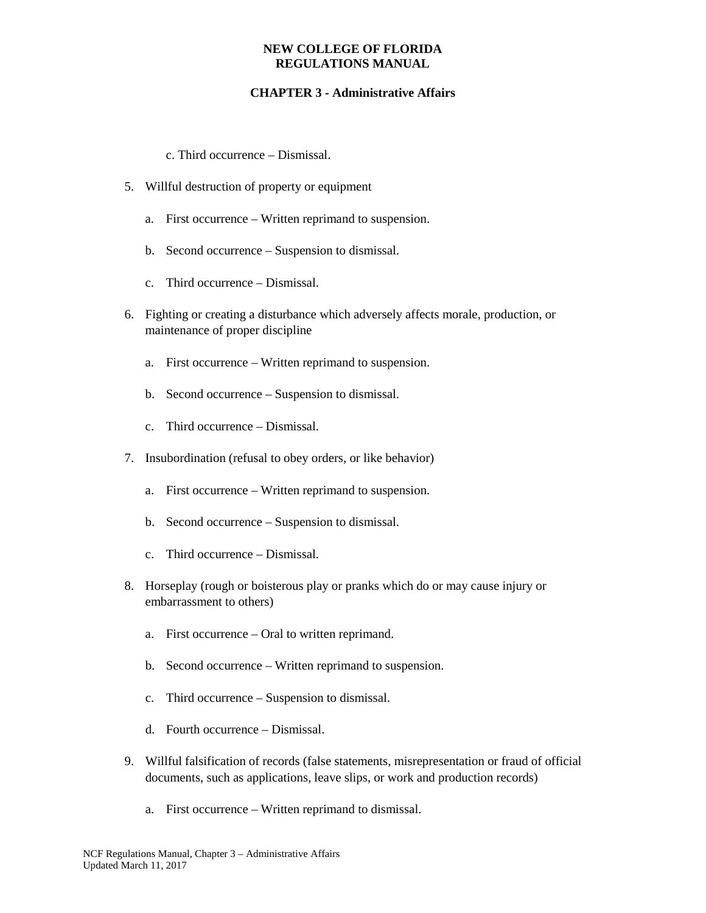## **CHAPTER 3 - Administrative Affairs**

c. Third occurrence – Dismissal.

- 5. Willful destruction of property or equipment
	- a. First occurrence Written reprimand to suspension.
	- b. Second occurrence Suspension to dismissal.
	- c. Third occurrence Dismissal.
- 6. Fighting or creating a disturbance which adversely affects morale, production, or maintenance of proper discipline
	- a. First occurrence Written reprimand to suspension.
	- b. Second occurrence Suspension to dismissal.
	- c. Third occurrence Dismissal.
- 7. Insubordination (refusal to obey orders, or like behavior)
	- a. First occurrence Written reprimand to suspension.
	- b. Second occurrence Suspension to dismissal.
	- c. Third occurrence Dismissal.
- 8. Horseplay (rough or boisterous play or pranks which do or may cause injury or embarrassment to others)
	- a. First occurrence Oral to written reprimand.
	- b. Second occurrence Written reprimand to suspension.
	- c. Third occurrence Suspension to dismissal.
	- d. Fourth occurrence Dismissal.
- 9. Willful falsification of records (false statements, misrepresentation or fraud of official documents, such as applications, leave slips, or work and production records)
	- a. First occurrence Written reprimand to dismissal.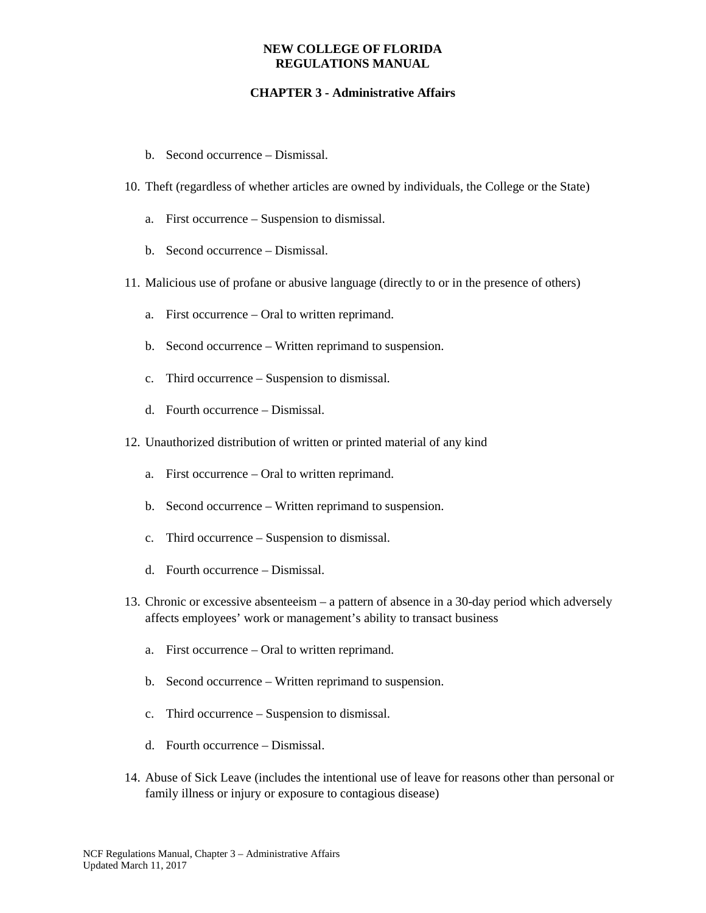- b. Second occurrence Dismissal.
- 10. Theft (regardless of whether articles are owned by individuals, the College or the State)
	- a. First occurrence Suspension to dismissal.
	- b. Second occurrence Dismissal.
- 11. Malicious use of profane or abusive language (directly to or in the presence of others)
	- a. First occurrence Oral to written reprimand.
	- b. Second occurrence Written reprimand to suspension.
	- c. Third occurrence Suspension to dismissal.
	- d. Fourth occurrence Dismissal.
- 12. Unauthorized distribution of written or printed material of any kind
	- a. First occurrence Oral to written reprimand.
	- b. Second occurrence Written reprimand to suspension.
	- c. Third occurrence Suspension to dismissal.
	- d. Fourth occurrence Dismissal.
- 13. Chronic or excessive absenteeism a pattern of absence in a 30-day period which adversely affects employees' work or management's ability to transact business
	- a. First occurrence Oral to written reprimand.
	- b. Second occurrence Written reprimand to suspension.
	- c. Third occurrence Suspension to dismissal.
	- d. Fourth occurrence Dismissal.
- 14. Abuse of Sick Leave (includes the intentional use of leave for reasons other than personal or family illness or injury or exposure to contagious disease)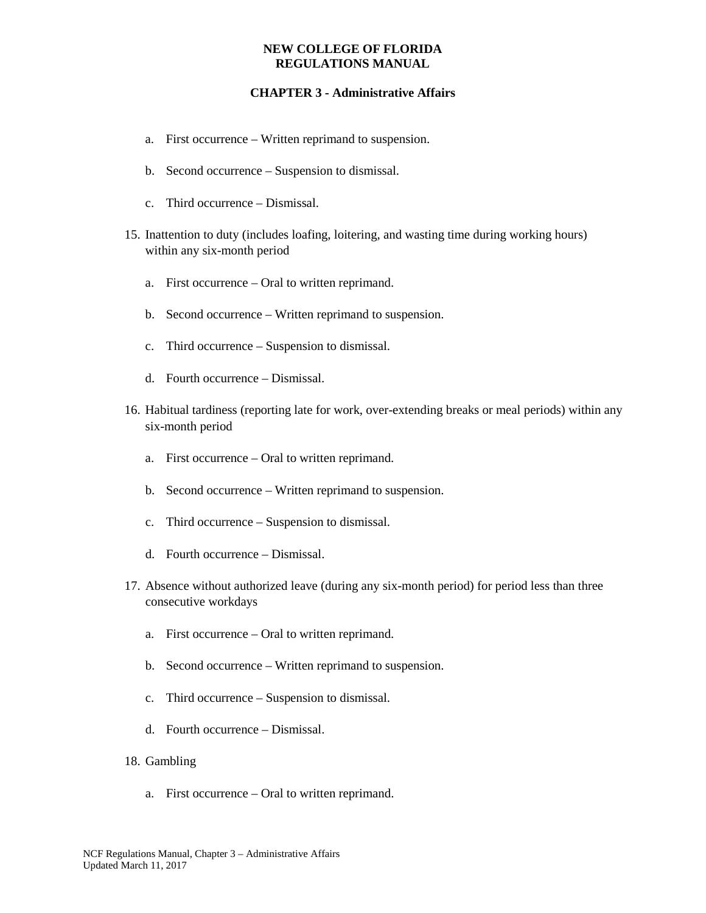- a. First occurrence Written reprimand to suspension.
- b. Second occurrence Suspension to dismissal.
- c. Third occurrence Dismissal.
- 15. Inattention to duty (includes loafing, loitering, and wasting time during working hours) within any six-month period
	- a. First occurrence Oral to written reprimand.
	- b. Second occurrence Written reprimand to suspension.
	- c. Third occurrence Suspension to dismissal.
	- d. Fourth occurrence Dismissal.
- 16. Habitual tardiness (reporting late for work, over-extending breaks or meal periods) within any six-month period
	- a. First occurrence Oral to written reprimand.
	- b. Second occurrence Written reprimand to suspension.
	- c. Third occurrence Suspension to dismissal.
	- d. Fourth occurrence Dismissal.
- 17. Absence without authorized leave (during any six-month period) for period less than three consecutive workdays
	- a. First occurrence Oral to written reprimand.
	- b. Second occurrence Written reprimand to suspension.
	- c. Third occurrence Suspension to dismissal.
	- d. Fourth occurrence Dismissal.
- 18. Gambling
	- a. First occurrence Oral to written reprimand.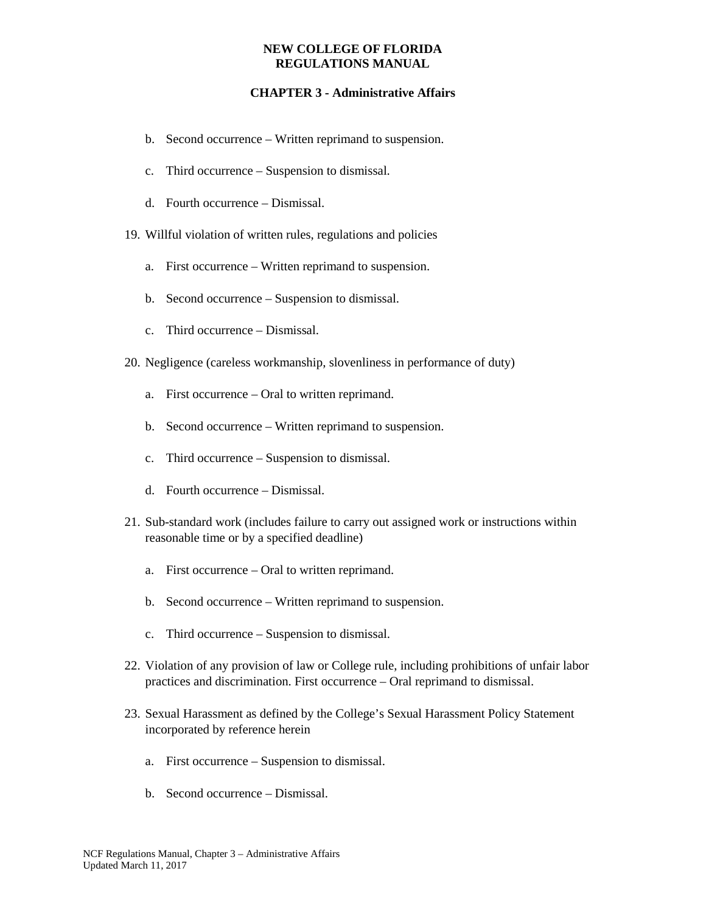- b. Second occurrence Written reprimand to suspension.
- c. Third occurrence Suspension to dismissal.
- d. Fourth occurrence Dismissal.
- 19. Willful violation of written rules, regulations and policies
	- a. First occurrence Written reprimand to suspension.
	- b. Second occurrence Suspension to dismissal.
	- c. Third occurrence Dismissal.
- 20. Negligence (careless workmanship, slovenliness in performance of duty)
	- a. First occurrence Oral to written reprimand.
	- b. Second occurrence Written reprimand to suspension.
	- c. Third occurrence Suspension to dismissal.
	- d. Fourth occurrence Dismissal.
- 21. Sub-standard work (includes failure to carry out assigned work or instructions within reasonable time or by a specified deadline)
	- a. First occurrence Oral to written reprimand.
	- b. Second occurrence Written reprimand to suspension.
	- c. Third occurrence Suspension to dismissal.
- 22. Violation of any provision of law or College rule, including prohibitions of unfair labor practices and discrimination. First occurrence – Oral reprimand to dismissal.
- 23. Sexual Harassment as defined by the College's Sexual Harassment Policy Statement incorporated by reference herein
	- a. First occurrence Suspension to dismissal.
	- b. Second occurrence Dismissal.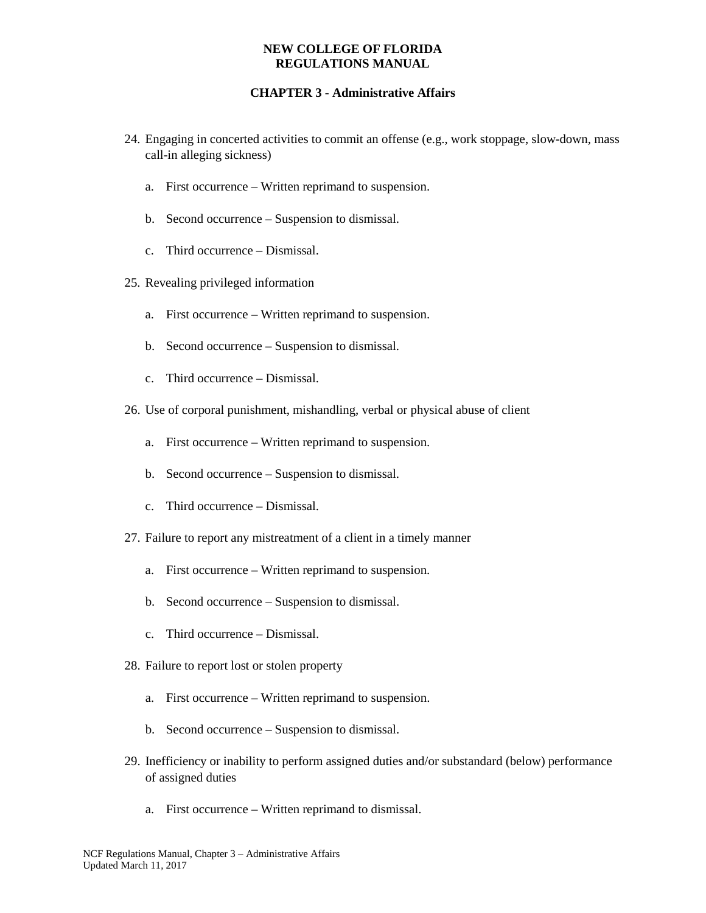- 24. Engaging in concerted activities to commit an offense (e.g., work stoppage, slow-down, mass call-in alleging sickness)
	- a. First occurrence Written reprimand to suspension.
	- b. Second occurrence Suspension to dismissal.
	- c. Third occurrence Dismissal.
- 25. Revealing privileged information
	- a. First occurrence Written reprimand to suspension.
	- b. Second occurrence Suspension to dismissal.
	- c. Third occurrence Dismissal.
- 26. Use of corporal punishment, mishandling, verbal or physical abuse of client
	- a. First occurrence Written reprimand to suspension.
	- b. Second occurrence Suspension to dismissal.
	- c. Third occurrence Dismissal.
- 27. Failure to report any mistreatment of a client in a timely manner
	- a. First occurrence Written reprimand to suspension.
	- b. Second occurrence Suspension to dismissal.
	- c. Third occurrence Dismissal.
- 28. Failure to report lost or stolen property
	- a. First occurrence Written reprimand to suspension.
	- b. Second occurrence Suspension to dismissal.
- 29. Inefficiency or inability to perform assigned duties and/or substandard (below) performance of assigned duties
	- a. First occurrence Written reprimand to dismissal.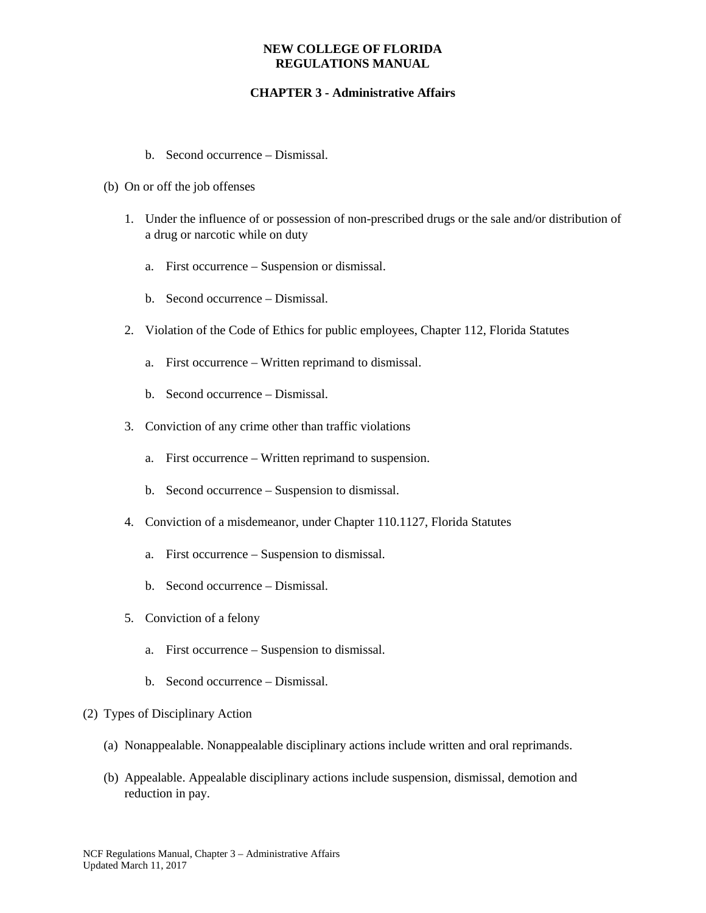- b. Second occurrence Dismissal.
- (b) On or off the job offenses
	- 1. Under the influence of or possession of non-prescribed drugs or the sale and/or distribution of a drug or narcotic while on duty
		- a. First occurrence Suspension or dismissal.
		- b. Second occurrence Dismissal.
	- 2. Violation of the Code of Ethics for public employees, Chapter 112, Florida Statutes
		- a. First occurrence Written reprimand to dismissal.
		- b. Second occurrence Dismissal.
	- 3. Conviction of any crime other than traffic violations
		- a. First occurrence Written reprimand to suspension.
		- b. Second occurrence Suspension to dismissal.
	- 4. Conviction of a misdemeanor, under Chapter 110.1127, Florida Statutes
		- a. First occurrence Suspension to dismissal.
		- b. Second occurrence Dismissal.
	- 5. Conviction of a felony
		- a. First occurrence Suspension to dismissal.
		- b. Second occurrence Dismissal.
- (2) Types of Disciplinary Action
	- (a) Nonappealable. Nonappealable disciplinary actions include written and oral reprimands.
	- (b) Appealable. Appealable disciplinary actions include suspension, dismissal, demotion and reduction in pay.